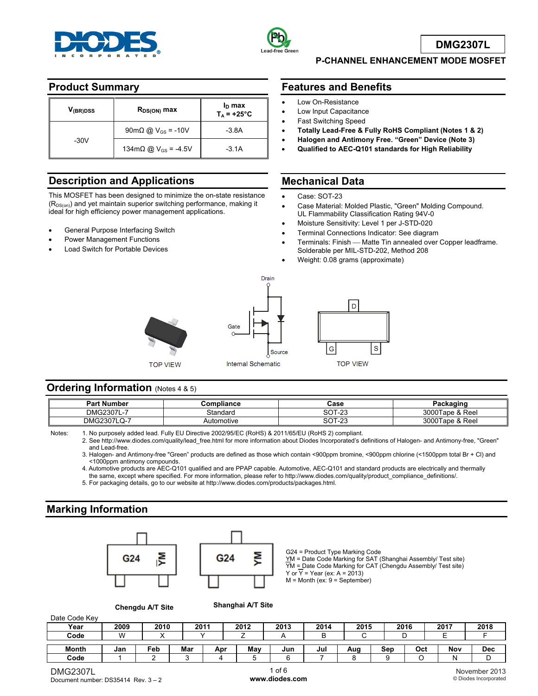



**DMG2307L**

### **P-CHANNEL ENHANCEMENT MODE MOSFET**

## **Product Summary**

| V <sub>(BR)DSS</sub> | $R_{DS(ON)}$ max                                    | $I_D$ max<br>$T_A$ = +25°C |
|----------------------|-----------------------------------------------------|----------------------------|
|                      | $90 \text{m}\Omega \text{ @ } V_{\text{GS}} = -10V$ | $-3.8A$                    |
| $-30V$               | 134m $\Omega$ @ V <sub>GS</sub> = -4.5V             | $-3.1A$                    |

# **Description and Applications**

This MOSFET has been designed to minimize the on-state resistance (R<sub>DS(on)</sub>) and yet maintain superior switching performance, making it ideal for high efficiency power management applications.

- General Purpose Interfacing Switch
- Power Management Functions
- Load Switch for Portable Devices

## **Features and Benefits**

- Low On-Resistance
- Low Input Capacitance
- Fast Switching Speed
- **Totally Lead-Free & Fully RoHS Compliant (Notes 1 & 2)**
- **Halogen and Antimony Free. "Green" Device (Note 3)**
- **Qualified to AEC-Q101 standards for High Reliability**

### **Mechanical Data**

- Case: SOT-23
- Case Material: Molded Plastic, "Green" Molding Compound. UL Flammability Classification Rating 94V-0
- Moisture Sensitivity: Level 1 per J-STD-020
- Terminal Connections Indicator: See diagram
- Terminals: Finish Matte Tin annealed over Copper leadframe. Solderable per MIL-STD-202, Method 208
- Weight: 0.08 grams (approximate)



# **Ordering Information** (Notes 4 & 5)

| <b>Part Number</b>           | Compliance | Case                  | Packaɑinɑ            |
|------------------------------|------------|-----------------------|----------------------|
| <b>DMG2307L</b><br>$L - 1$   | Standard   | SOT-23                | 3000Tape & Reel      |
| <b>DMG2307LQ</b><br>. ≀ LQ-1 | Automotive | ິດ⊤<br>nn.<br>SU I-23 | 3000T<br>Tape & Reel |

Notes: 1. No purposely added lead. Fully EU Directive 2002/95/EC (RoHS) & 2011/65/EU (RoHS 2) compliant.

 2. See http://www.diodes.com/quality/lead\_free.html for more information about Diodes Incorporated's definitions of Halogen- and Antimony-free, "Green" and Lead-free.

 3. Halogen- and Antimony-free "Green" products are defined as those which contain <900ppm bromine, <900ppm chlorine (<1500ppm total Br + Cl) and <1000ppm antimony compounds.

- 4. Automotive products are AEC-Q101 qualified and are PPAP capable. Automotive, AEC-Q101 and standard products are electrically and thermally the same, except where specified. For more information, please refer to http://www.diodes.com/quality/product\_compliance\_definitions/.
- 5. For packaging details, go to our website at http://www.diodes.com/products/packages.html.

# **Marking Information**



G24 = Product Type Marking Code YM = Date Code Marking for SAT (Shanghai Assembly/ Test site)  $\overline{YM}$  = Date Code Marking for CAT (Chengdu Assembly/ Test site) Y or  $\overline{Y}$  = Year (ex: A = 2013)  $M =$  Month (ex:  $9 =$  September)

**Chengdu A/T Site Shanghai A/T Site**

ŠΣ

| Date Code Key |      |      |      |     |      |      |      |      |     |      |      |            |
|---------------|------|------|------|-----|------|------|------|------|-----|------|------|------------|
| Year          | 2009 | 2010 | 2011 |     | 2012 | 2013 | 2014 | 2015 |     | 2016 | 2017 | 2018       |
| Code          | ۱W   |      |      |     |      |      |      |      |     |      |      |            |
| <b>Month</b>  | Jan  | Feb  | Mar  | Apr | May  | Jun  | Jul  | Aug  | Sep | Oct  | Nov  | <b>Dec</b> |
| Code          |      |      |      |     |      |      |      |      |     |      | N    |            |

Date Code Key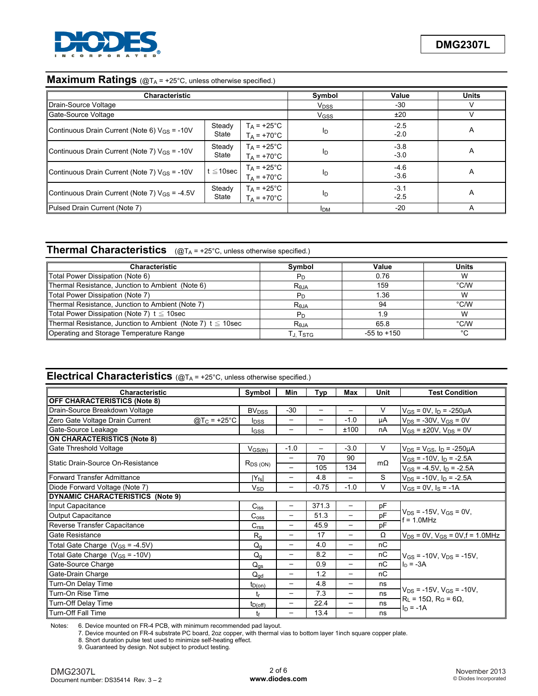

### **Maximum Ratings** (@T<sub>A</sub> = +25°C, unless otherwise specified.)

| <b>Characteristic</b>                              |                 | Symbol                                | Value                  | <b>Units</b>     |   |
|----------------------------------------------------|-----------------|---------------------------------------|------------------------|------------------|---|
| Drain-Source Voltage                               |                 |                                       | <b>V<sub>DSS</sub></b> | $-30$            |   |
| Gate-Source Voltage                                |                 |                                       | V <sub>GSS</sub>       | ±20              |   |
| Continuous Drain Current (Note 6) $V_{GS}$ = -10V  | Steady<br>State | $T_A$ = +25°C<br>$T_A = +70^{\circ}C$ | I <sub>D</sub>         | $-2.5$<br>$-2.0$ | A |
| Continuous Drain Current (Note 7) $V_{GS}$ = -10V  | Steady<br>State | $T_A$ = +25°C<br>$T_A = +70^{\circ}C$ | ID                     | $-3.8$<br>$-3.0$ | A |
| Continuous Drain Current (Note 7) $V_{GS}$ = -10V  | $t \leq 10$ sec | $T_A$ = +25°C<br>$T_A = +70^{\circ}C$ | ID                     | $-4.6$<br>$-3.6$ | A |
| Continuous Drain Current (Note 7) $V_{GS}$ = -4.5V | Steady<br>State | $T_A$ = +25°C<br>$T_A = +70^{\circ}C$ | ID                     | $-3.1$<br>$-2.5$ | A |
| Pulsed Drain Current (Note 7)                      |                 | <b>IDM</b>                            | $-20$                  |                  |   |

# **Thermal Characteristics** (@T<sub>A</sub> = +25°C, unless otherwise specified.)

| <b>Characteristic</b>                                            | Symbol         | Value           | <b>Units</b>  |
|------------------------------------------------------------------|----------------|-----------------|---------------|
| Total Power Dissipation (Note 6)                                 | Рn             | 0.76            | W             |
| Thermal Resistance, Junction to Ambient (Note 6)                 | $R_{0,IA}$     | 159             | $\degree$ C/W |
| Total Power Dissipation (Note 7)                                 | $P_D$          | 1.36            | W             |
| Thermal Resistance, Junction to Ambient (Note 7)                 | $R_{\theta$ JA | 94              | °C/W          |
| Total Power Dissipation (Note 7) $t \leq 10$ sec                 |                |                 | W             |
| Thermal Resistance, Junction to Ambient (Note 7) $t \leq 10$ sec | $R_{\theta$ JA | 65.8            | °C/W          |
| Operating and Storage Temperature Range                          | Г., Tsтg       | $-55$ to $+150$ | °C            |

# **Electrical Characteristics** (@TA = +25°C, unless otherwise specified.)

| <b>Characteristic</b>                      |                         |                         | Min                      | Typ                      | Max                      | Unit      | <b>Test Condition</b>                            |  |
|--------------------------------------------|-------------------------|-------------------------|--------------------------|--------------------------|--------------------------|-----------|--------------------------------------------------|--|
| <b>OFF CHARACTERISTICS (Note 8)</b>        |                         |                         |                          |                          |                          |           |                                                  |  |
| Drain-Source Breakdown Voltage             |                         | <b>BV<sub>DSS</sub></b> | $-30$                    | $\qquad \qquad -$        | $\overline{\phantom{0}}$ | V         | $V_{GS} = 0V$ , $I_D = -250 \mu A$               |  |
| Zero Gate Voltage Drain Current            | @T <sub>C</sub> = +25°C | <b>I</b> DSS            | $\overline{\phantom{0}}$ |                          | $-1.0$                   | μA        | $V_{DS}$ = -30V, $V_{GS}$ = 0V                   |  |
| Gate-Source Leakage                        |                         | <b>I</b> GSS            | —                        | $\overline{\phantom{0}}$ | ±100                     | nA        | $V_{GS}$ = ±20V, $V_{DS}$ = 0V                   |  |
| <b>ON CHARACTERISTICS (Note 8)</b>         |                         |                         |                          |                          |                          |           |                                                  |  |
| Gate Threshold Voltage                     |                         | $V_{GS(th)}$            | $-1.0$                   |                          | $-3.0$                   | $\vee$    | $V_{DS}$ = $V_{GS}$ , $I_D$ = -250µA             |  |
| lStatic Drain-Source On-Resistance         |                         |                         |                          | 70                       | 90                       |           | $V_{GS}$ = -10V, $I_D$ = -2.5A                   |  |
|                                            |                         | $R_{DS(ON)}$            | $\overline{\phantom{0}}$ | 105                      | 134                      | $m\Omega$ | $V_{GS}$ = -4.5V, $I_D$ = -2.5A                  |  |
| Forward Transfer Admittance                |                         | $ Y_{fs} $              | —                        | 4.8                      | —                        | S         | $V_{DS}$ = -10V, $I_D$ = -2.5A                   |  |
| Diode Forward Voltage (Note 7)             |                         | Vsp                     | —                        | $-0.75$                  | $-1.0$                   | $\vee$    | $V_{GS} = 0V$ , $I_S = -1A$                      |  |
| DYNAMIC CHARACTERISTICS (Note 9)           |                         |                         |                          |                          |                          |           |                                                  |  |
| Input Capacitance                          |                         | $C$ <sub>iss</sub>      | —                        | 371.3                    | —                        | pF        |                                                  |  |
| Output Capacitance                         |                         | C <sub>oss</sub>        | —                        | 51.3                     | —                        | pF        | $V_{DS}$ = -15V, $V_{GS}$ = 0V,<br>$f = 1.0$ MHz |  |
| Reverse Transfer Capacitance               |                         | C <sub>rss</sub>        | $\overline{\phantom{0}}$ | 45.9                     | —                        | pF        |                                                  |  |
| Gate Resistance                            |                         | $R_{q}$                 | $\overline{\phantom{0}}$ | 17                       | $\overline{\phantom{m}}$ | Ω         | $V_{DS}$ = 0V, $V_{GS}$ = 0V, f = 1.0MHz         |  |
| Total Gate Charge $(V_{GS} = -4.5V)$       |                         | $Q_{q}$                 | $\overline{\phantom{0}}$ | 4.0                      | —                        | nC        |                                                  |  |
| Total Gate Charge (V <sub>GS</sub> = -10V) |                         | $Q_{q}$                 | $\overline{\phantom{0}}$ | 8.2                      | $\overline{\phantom{m}}$ | пC        | $V_{GS}$ = -10V, $V_{DS}$ = -15V,                |  |
| Gate-Source Charge                         |                         | $Q_{qs}$                | $\overline{\phantom{0}}$ | 0.9                      | —                        | nC        | $I_n = -3A$                                      |  |
| Gate-Drain Charge                          |                         | $Q_{\text{qd}}$         | $\overline{\phantom{0}}$ | 1.2                      | —                        | nC        |                                                  |  |
| Turn-On Delay Time                         |                         | $t_{D(on)}$             | —                        | 4.8                      | —                        | ns        |                                                  |  |
| Turn-On Rise Time                          |                         | $t_{r}$                 | —                        | 7.3                      | —                        | ns        | $V_{DS}$ = -15V, $V_{GS}$ = -10V,                |  |
| Turn-Off Delay Time                        |                         | $t_{D(off)}$            | —                        | 22.4                     | —                        | ns        | $R_1 = 15\Omega$ , $R_G = 6\Omega$ ,             |  |
| Turn-Off Fall Time                         |                         | tf                      | $\overline{\phantom{0}}$ | 13.4                     | —                        | ns        | $In = -1A$                                       |  |

Notes: 6. Device mounted on FR-4 PCB, with minimum recommended pad layout.

7. Device mounted on FR-4 substrate PC board, 2oz copper, with thermal vias to bottom layer 1inch square copper plate.

8. Short duration pulse test used to minimize self-heating effect.

9. Guaranteed by design. Not subject to product testing.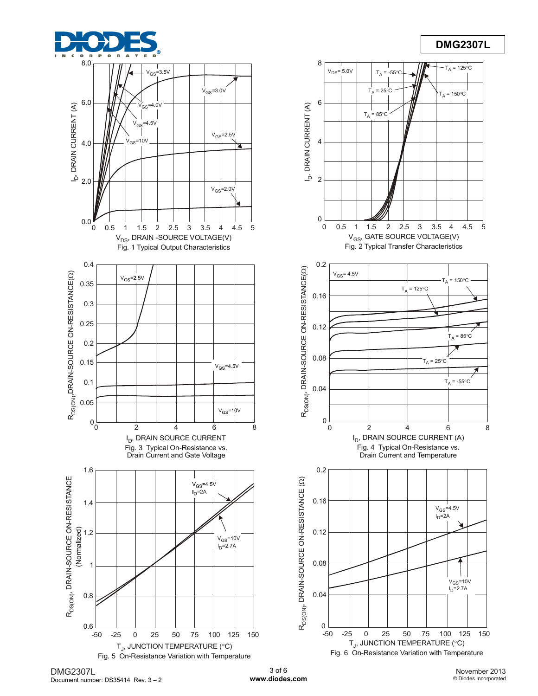

# **DMG2307L**

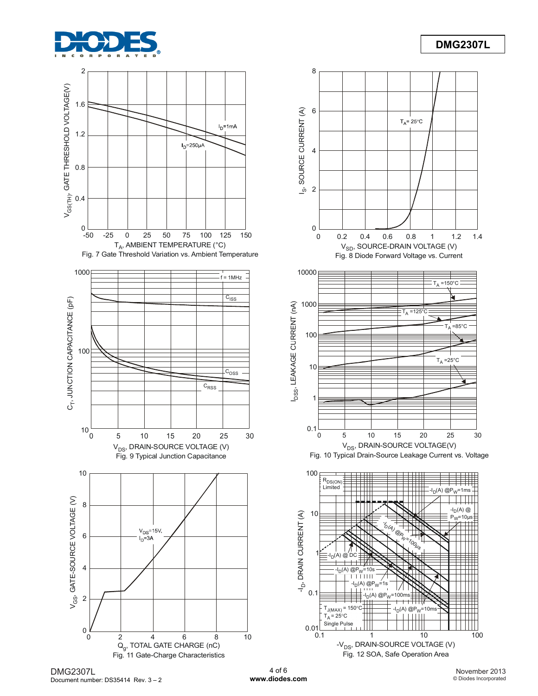



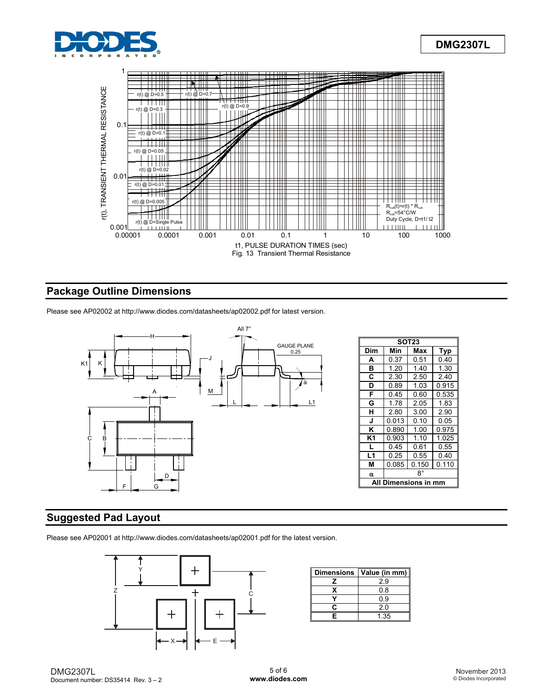



# **Package Outline Dimensions**

Please see AP02002 at http://www.diodes.com/datasheets/ap02002.pdf for latest version.



### **Suggested Pad Layout**

Please see AP02001 at http://www.diodes.com/datasheets/ap02001.pdf for the latest version.



| <b>Dimensions</b> | Value (in mm) |
|-------------------|---------------|
|                   | 2.9           |
|                   | 0.8           |
|                   | 0.9           |
| r.                | 2.0           |
| F                 | 1.35          |